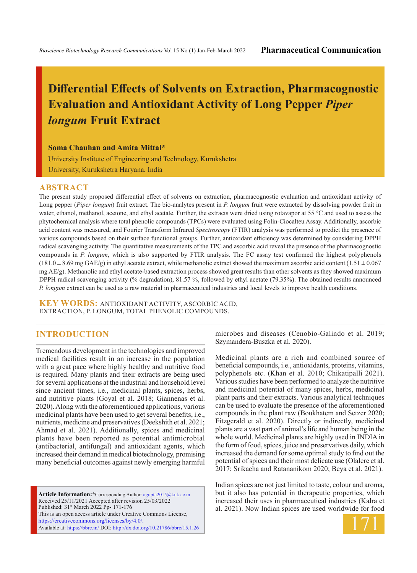# **Differential Effects of Solvents on Extraction, Pharmacognostic Evaluation and Antioxidant Activity of Long Pepper** *Piper longum* **Fruit Extract**

**Soma Chauhan and Amita Mittal\***

University Institute of Engineering and Technology, Kurukshetra University, Kurukshetra Haryana, India

### **ABSTRACT**

The present study proposed differential effect of solvents on extraction, pharmacognostic evaluation and antioxidant activity of Long pepper (*Piper longum*) fruit extract. The bio-analytes present in *P. longum* fruit were extracted by dissolving powder fruit in water, ethanol, methanol, acetone, and ethyl acetate. Further, the extracts were dried using rotavapor at 55 °C and used to assess the phytochemical analysis where total phenolic compounds (TPCs) were evaluated using Folin-Ciocalteu Assay. Additionally, ascorbic acid content was measured, and Fourier Transform Infrared *Spectroscopy* (FTIR) analysis was performed to predict the presence of various compounds based on their surface functional groups. Further, antioxidant efficiency was determined by considering DPPH radical scavenging activity. The quantitative measurements of the TPC and ascorbic acid reveal the presence of the pharmacognostic compounds in *P. longum*, which is also supported by FTIR analysis. The FC assay test confirmed the highest polyphenols  $(181.0 \pm 8.69 \text{ mg} \text{ GAE/g})$  in ethyl acetate extract, while methanolic extract showed the maximum ascorbic acid content  $(1.51 \pm 0.067$ mg AE/g). Methanolic and ethyl acetate-based extraction process showed great results than other solvents as they showed maximum DPPH radical scavenging activity (% degradation), 81.57 %, followed by ethyl acetate (79.35%). The obtained results announced *P. longum* extract can be used as a raw material in pharmaceutical industries and local levels to improve health conditions.

**KEY WORDS:** Antioxidant activity, Ascorbic acid, Extraction, P. longum, Total phenolic compounds.

## **INTRODUCTION**

Tremendous development in the technologies and improved medical facilities result in an increase in the population with a great pace where highly healthy and nutritive food is required. Many plants and their extracts are being used for several applications at the industrial and household level since ancient times, i.e., medicinal plants, spices, herbs, and nutritive plants (Goyal et al. 2018; Giannenas et al. 2020). Along with the aforementioned applications, various medicinal plants have been used to get several benefits, i.e., nutrients, medicine and preservatives (Deekshith et al. 2021; Ahmad et al. 2021). Additionally, spices and medicinal plants have been reported as potential antimicrobial (antibacterial, antifungal) and antioxidant agents, which increased their demand in medical biotechnology, promising many beneficial outcomes against newly emerging harmful

**Article Information:\***Corresponding Author: agupta2015@kuk.ac.in Received 25/11/2021 Accepted after revision 25/03/2022 Published: 31st March 2022 Pp- 171-176 This is an open access article under Creative Commons License, https://creativecommons.org/licenses/by/4.0/. Available at: https://bbrc.in/ DOI: http://dx.doi.org/10.21786/bbrc/15.1.26 microbes and diseases (Cenobio-Galindo et al. 2019; Szymandera-Buszka et al. 2020).

Medicinal plants are a rich and combined source of beneficial compounds, i.e., antioxidants, proteins, vitamins, polyphenols etc. (Khan et al. 2010; Chikatipalli 2021). Various studies have been performed to analyze the nutritive and medicinal potential of many spices, herbs, medicinal plant parts and their extracts. Various analytical techniques can be used to evaluate the presence of the aforementioned compounds in the plant raw (Boukhatem and Setzer 2020; Fitzgerald et al. 2020). Directly or indirectly, medicinal plants are a vast part of animal's life and human being in the whole world. Medicinal plants are highly used in INDIA in the form of food, spices, juice and preservatives daily, which increased the demand for some optimal study to find out the potential of spices and their most delicate use (Olalere et al. 2017; Srikacha and Ratananikom 2020; Beya et al. 2021).

Indian spices are not just limited to taste, colour and aroma, but it also has potential in therapeutic properties, which increased their uses in pharmaceutical industries (Kalra et al. 2021). Now Indian spices are used worldwide for food

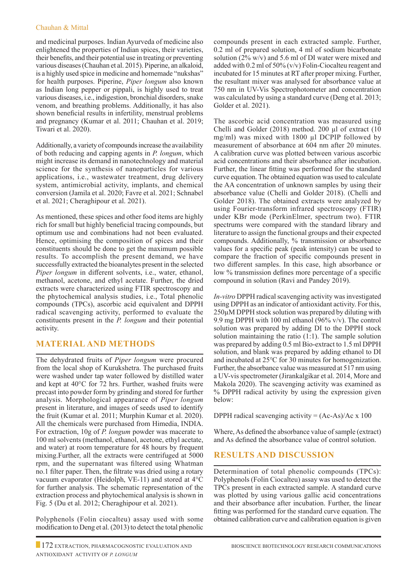## Chauhan & Mittal

and medicinal purposes. Indian Ayurveda of medicine also enlightened the properties of Indian spices, their varieties, their benefits, and their potential use in treating or preventing various diseases (Chauhan et al. 2015). Piperine, an alkaloid, is a highly used spice in medicine and homemade "nukshas" for health purposes. Piperine, *Piper longum* also known as Indian long pepper or pippali, is highly used to treat various diseases, i.e., indigestion, bronchial disorders, snake venom, and breathing problems. Additionally, it has also shown beneficial results in infertility, menstrual problems and pregnancy (Kumar et al. 2011; Chauhan et al. 2019; Tiwari et al. 2020).

Additionally, a variety of compounds increase the availability of both reducing and capping agents in *P. longum*, which might increase its demand in nanotechnology and material science for the synthesis of nanoparticles for various applications, i.e., wastewater treatment, drug delivery system, antimicrobial activity, implants, and chemical conversion (Jamila et al. 2020; Favre et al. 2021; Schnabel et al. 2021; Cheraghipour et al. 2021).

As mentioned, these spices and other food items are highly rich for small but highly beneficial tracing compounds, but optimum use and combinations had not been evaluated. Hence, optimising the composition of spices and their constituents should be done to get the maximum possible results. To accomplish the present demand, we have successfully extracted the bioanalytes present in the selected *Piper longum* in different solvents, i.e., water, ethanol, methanol, acetone, and ethyl acetate. Further, the dried extracts were characterized using FTIR spectroscopy and the phytochemical analysis studies, i.e., Total phenolic compounds (TPCs), ascorbic acid equivalent and DPPH radical scavenging activity, performed to evaluate the constituents present in the *P. longum* and their potential activity.

## **Material and Methods**

The dehydrated fruits of *Piper longum* were procured from the local shop of Kurukshetra. The purchased fruits were washed under tap water followed by distilled water and kept at 40°C for 72 hrs. Further, washed fruits were precast into powder form by grinding and stored for further analysis. Morphological appearance of *Piper longum* present in literature, and images of seeds used to identify the fruit (Kumar et al. 2011; Murphin Kumar et al. 2020). All the chemicals were purchased from Himedia, INDIA. For extraction, 10g of *P. longum* powder was macerate to 100 ml solvents (methanol, ethanol, acetone, ethyl acetate, and water) at room temperature for 48 hours by frequent mixing.Further, all the extracts were centrifuged at 5000 rpm, and the supernatant was filtered using Whatman no.1 filter paper. Then, the filtrate was dried using a rotary vacuum evaporator (Heidolph, VE-11) and stored at 4°C for further analysis. The schematic representation of the extraction process and phytochemical analysis is shown in Fig. 5 (Du et al. 2012; Cheraghipour et al. 2021).

Polyphenols (Folin ciocalteu) assay used with some modification to Deng et al. (2013) to detect the total phenolic

compounds present in each extracted sample. Further, 0.2 ml of prepared solution, 4 ml of sodium bicarbonate solution (2% w/v) and 5.6 ml of DI water were mixed and added with 0.2 ml of 50% (v/v) Folin-Ciocalteu reagent and incubated for 15 minutes at RT after proper mixing. Further, the resultant mixer was analysed for absorbance value at 750 nm in UV-Vis Spectrophotometer and concentration was calculated by using a standard curve (Deng et al. 2013; Golder et al. 2021).

The ascorbic acid concentration was measured using Chelli and Golder (2018) method. 200 µl of extract (10 mg/ml) was mixed with 1800 µl DCPIP followed by measurement of absorbance at 604 nm after 20 minutes. A calibration curve was plotted between various ascorbic acid concentrations and their absorbance after incubation. Further, the linear fitting was performed for the standard curve equation. The obtained equation was used to calculate the AA concentration of unknown samples by using their absorbance value (Chelli and Golder 2018). (Chelli and Golder 2018). The obtained extracts were analyzed by using Fourier-transform infrared spectroscopy (FTIR) under KBr mode (PerkinElmer, spectrum two). FTIR spectrums were compared with the standard library and literature to assign the functional groups and their expected compounds. Additionally, % transmission or absorbance values for a specific peak (peak intensity) can be used to compare the fraction of specific compounds present in two different samples. In this case, high absorbance or low % transmission defines more percentage of a specific compound in solution (Ravi and Pandey 2019).

*In-vitro* DPPH radical scavenging activity was investigated using DPPH as an indicator of antioxidant activity. For this, 250µM DPPH stock solution was prepared by diluting with 9.9 mg DPPH with 100 ml ethanol (96% v/v). The control solution was prepared by adding DI to the DPPH stock solution maintaining the ratio (1:1). The sample solution was prepared by adding  $0.5$  ml Bio-extract to 1.5 ml DPPH solution, and blank was prepared by adding ethanol to DI and incubated at 25℃ for 30 minutes for homogenization. Further, the absorbance value was measured at 517 nm using a UV-vis spectrometer (Jirankalgikar et al. 2014, More and Makola 2020). The scavenging activity was examined as % DPPH radical activity by using the expression given below:

DPPH radical scavenging activity  $= (Ac-As)/Ac \times 100$ 

Where, As defined the absorbance value of sample (extract) and As defined the absorbance value of control solution.

# **Results and Discussion**

Determination of total phenolic compounds (TPCs): Polyphenols (Folin Ciocalteu) assay was used to detect the TPCs present in each extracted sample. A standard curve was plotted by using various gallic acid concentrations and their absorbance after incubation. Further, the linear fitting was performed for the standard curve equation. The obtained calibration curve and calibration equation is given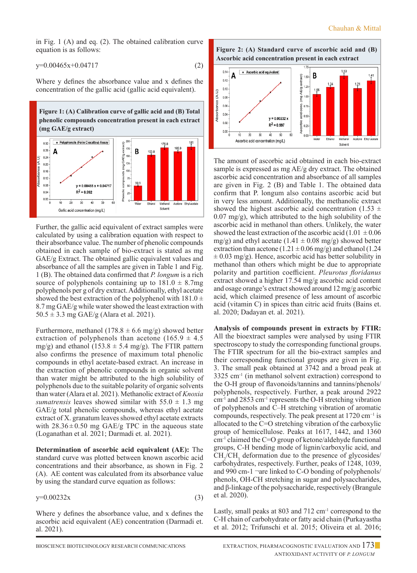in Fig. 1 (A) and eq. (2). The obtained calibration curve equation is as follows:

$$
y=0.00465x+0.04717
$$
 (2)

Where y defines the absorbance value and x defines the concentration of the gallic acid (gallic acid equivalent).





Further, the gallic acid equivalent of extract samples were calculated by using a calibration equation with respect to their absorbance value. The number of phenolic compounds obtained in each sample of bio-extract is stated as mg GAE/g Extract. The obtained gallic equivalent values and absorbance of all the samples are given in Table 1 and Fig. 1 (B). The obtained data confirmed that *P. longum* is a rich source of polyphenols containing up to  $181.0 \pm 8.7$ mg polyphenols per g of dry extract. Additionally, ethyl acetate showed the best extraction of the polyphenol with  $181.0 \pm$ 8.7 mg GAE/g while water showed the least extraction with  $50.5 \pm 3.3$  mg GAE/g (Alara et al. 2021).

Furthermore, methanol (178.8  $\pm$  6.6 mg/g) showed better extraction of polyphenols than acetone (165.9  $\pm$  4.5 mg/g) and ethanol (153.8  $\pm$  5.4 mg/g). The FTIR pattern also confirms the presence of maximum total phenolic compounds in ethyl acetate-based extract. An increase in the extraction of phenolic compounds in organic solvent than water might be attributed to the high solubility of polyphenols due to the suitable polarity of organic solvents than water (Alara et al. 2021). Methanolic extract of *Knoxia sumatrensis* leaves showed similar with  $55.0 \pm 1.3$  mg GAE/g total phenolic compounds, whereas ethyl acetate extract of X. granatum leaves showed ethyl acetate extracts with  $28.36 \pm 0.50$  mg GAE/g TPC in the aqueous state (Loganathan et al. 2021; Darmadi et. al. 2021).

**Determination of ascorbic acid equivalent (AE):** The standard curve was plotted between known ascorbic acid concentrations and their absorbance, as shown in Fig. 2 (A). AE content was calculated from its absorbance value by using the standard curve equation as follows:

$$
y=0.00232x\tag{3}
$$

Where y defines the absorbance value, and x defines the ascorbic acid equivalent (AE) concentration (Darmadi et. al. 2021).

**Figure 2: (A) Standard curve of ascorbic acid and (B) Ascorbic acid concentration present in each extract**



The amount of ascorbic acid obtained in each bio-extract sample is expressed as mg AE/g dry extract. The obtained ascorbic acid concentration and absorbance of all samples are given in Fig. 2 (B) and Table 1. The obtained data confirm that P. longum also contains ascorbic acid but in very less amount. Additionally, the methanolic extract showed the highest ascorbic acid concentration (1.53  $\pm$ 0.07 mg/g), which attributed to the high solubility of the ascorbic acid in methanol than others. Unlikely, the water showed the least extraction of the ascorbic acid (1.01  $\pm$  0.06 mg/g) and ethyl acetate (1.41  $\pm$  0.08 mg/g) showed better extraction than acetone (1.21  $\pm$  0.06 mg/g) and ethanol (1.24  $\pm$  0.03 mg/g). Hence, ascorbic acid has better solubility in methanol than others which might be due to appropriate polarity and partition coefficient. *Pleurotus floridanus*  extract showed a higher 17.54 mg/g ascorbic acid content and osage orange's extract showed around 12 mg/g ascorbic acid, which claimed presence of less amount of ascorbic acid (vitamin C) in spices than citric acid fruits (Bains et. al. 2020; Dadayan et. al. 2021).

**Analysis of compounds present in extracts by FTIR:** All the bioextract samples were analysed by using FTIR spectroscopy to study the corresponding functional groups. The FTIR spectrum for all the bio-extract samples and their corresponding functional groups are given in Fig. 3. The small peak obtained at 3742 and a broad peak at  $3325$  cm<sup>-1</sup> (in methanol solvent extraction) correspond to the O-H group of flavonoids/tannins and tannins/phenols/ polyphenols, respectively. Further, a peak around 2922 cm-1 and 2853 cm-1 represents the O-H stretching vibration of polyphenols and C–H stretching vibration of aromatic compounds, respectively. The peak present at 1720 cm−1 is allocated to the C=O stretching vibration of the carboxylic group of hemicellulose. Peaks at 1617, 1442, and 1360 cm-1 claimed the C=O group of ketone/aldehyde functional groups, C-H bending mode of lignin/carboxylic acid, and  $CH_2/CH_3$  deformation due to the presence of glycosides/ carbohydrates, respectively. Further, peaks of 1248, 1039, and 990 cm-1 ¬are linked to C-O bonding of polyphenols/ phenols, OH-CH stretching in sugar and polysaccharides, and β-linkage of the polysaccharide, respectively (Brangule et al. 2020).

Lastly, small peaks at 803 and 712 cm<sup>-1</sup> correspond to the C-H chain of carbohydrate or fatty acid chain (Purkayastha et al. 2012; Trifunschi et al. 2015; Oliveira et al. 2016;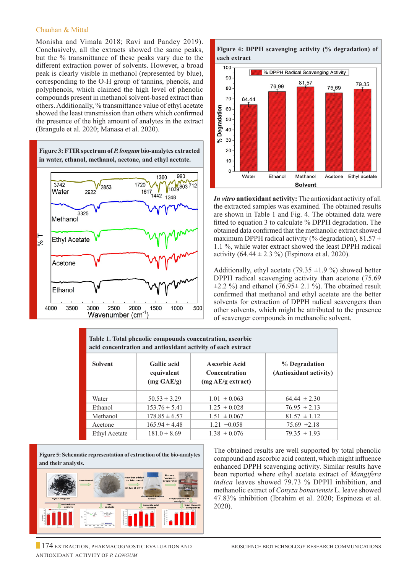#### Chauhan & Mittal

Monisha and Vimala 2018; Ravi and Pandey 2019). Conclusively, all the extracts showed the same peaks, but the % transmittance of these peaks vary due to the different extraction power of solvents. However, a broad peak is clearly visible in methanol (represented by blue), corresponding to the O-H group of tannins, phenols, and polyphenols, which claimed the high level of phenolic compounds present in methanol solvent-based extract than others. Additionally, % transmittance value of ethyl acetate showed the least transmission than others which confirmed the presence of the high amount of analytes in the extract (Brangule et al. 2020; Manasa et al. 2020).







*In vitro* **antioxidant activity:** The antioxidant activity of all the extracted samples was examined. The obtained results are shown in Table 1 and Fig. 4. The obtained data were fitted to equation 3 to calculate % DPPH degradation. The obtained data confirmed that the methanolic extract showed maximum DPPH radical activity (% degradation),  $81.57 \pm$ 1.1 %, while water extract showed the least DPPH radical activity  $(64.44 \pm 2.3 \%)$  (Espinoza et al. 2020).

Additionally, ethyl acetate (79.35  $\pm$ 1.9 %) showed better DPPH radical scavenging activity than acetone (75.69  $\pm 2.2$  %) and ethanol (76.95 $\pm$  2.1 %). The obtained result confirmed that methanol and ethyl acetate are the better solvents for extraction of DPPH radical scavengers than other solvents, which might be attributed to the presence of scavenger compounds in methanolic solvent.

| Table 1. Total phenolic compounds concentration, ascorbic<br>acid concentration and antioxidant activity of each extract |                                                          |                                                                   |                                         |
|--------------------------------------------------------------------------------------------------------------------------|----------------------------------------------------------|-------------------------------------------------------------------|-----------------------------------------|
| <b>Solvent</b>                                                                                                           | <b>Gallic</b> acid<br>equivalent<br>$(mg \text{ GAE/g})$ | <b>Ascorbic Acid</b><br><b>Concentration</b><br>(mg AE/g extract) | % Degradation<br>(Antioxidant activity) |
| Water                                                                                                                    | $50.53 \pm 3.29$                                         | $1.01 \pm 0.063$                                                  | $64.44 \pm 2.30$                        |
| Ethanol                                                                                                                  | $153.76 \pm 5.41$                                        | $1.25 \pm 0.028$                                                  | $76.95 \pm 2.13$                        |
| Methanol                                                                                                                 | $178.85 \pm 6.57$                                        | $1.51 \pm 0.067$                                                  | $81.57 \pm 1.12$                        |
| Acetone                                                                                                                  | $165.94 \pm 4.48$                                        | $1.21 \pm 0.058$                                                  | $75.69 \pm 2.18$                        |
| Ethyl Acetate                                                                                                            | $181.0 \pm 8.69$                                         | $1.38 \pm 0.076$                                                  | $79.35 \pm 1.93$                        |

**Figure 5: Schematic representation of extraction of the bio-analytes and their analysis.**



The obtained results are well supported by total phenolic compound and ascorbic acid content, which might influence enhanced DPPH scavenging activity. Similar results have been reported where ethyl acetate extract of *Mangifera indica* leaves showed 79.73 % DPPH inhibition, and methanolic extract of *Conyza bonariensis* L. leave showed 47.83% inhibition (Ibrahim et al. 2020; Espinoza et al. 2020).

174 EXTRACTION, PHARMACOGNOSTIC EVALUATION AND BIOSCIENCE BIOTECHNOLOGY RESEARCH COMMUNICATIONS Antioxidant Activity of *P. longum*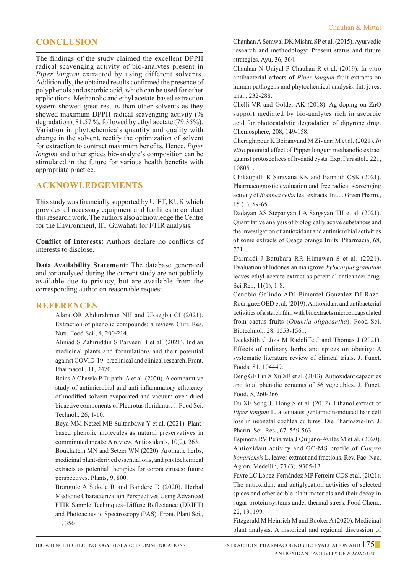# **Conclusion**

The findings of the study claimed the excellent DPPH radical scavenging activity of bio-analytes present in *Piper longum* extracted by using different solvents. Additionally, the obtained results confirmed the presence of polyphenols and ascorbic acid, which can be used for other applications. Methanolic and ethyl acetate-based extraction system showed great results than other solvents as they showed maximum DPPH radical scavenging activity (% degradation), 81.57 %, followed by ethyl acetate (79.35%). Variation in phytochemicals quantity and quality with change in the solvent, rectify the optimization of solvent for extraction to contract maximum benefits. Hence, *Piper longum* and other spices bio-analyte's composition can be stimulated in the future for various health benefits with appropriate practice.

## **Acknowledgements**

This study was financially supported by UIET, KUK which provides all necessary equipment and facilities to conduct this research work. The authors also acknowledge the Centre for the Environment, IIT Guwahati for FTIR analysis.

**Conflict of Interests:** Authors declare no conflicts of interests to disclose.

**Data Availability Statement:** The database generated and /or analysed during the current study are not publicly available due to privacy, but are available from the corresponding author on reasonable request.

## **REFERENCES**

Alara OR Abdurahman NH and Ukaegbu CI (2021). Extraction of phenolic compounds: a review. Curr. Res. Nutr. Food Sci., 4, 200-214.

Ahmad S Zahiruddin S Parveen B et al. (2021). Indian medicinal plants and formulations and their potential against COVID-19–preclinical and clinical research. Front. Pharmacol., 11, 2470.

 Bains A Chawla P Tripathi A et al. (2020). A comparative study of antimicrobial and anti-inflammatory efficiency of modified solvent evaporated and vacuum oven dried bioactive components of Pleurotus floridanus. J. Food Sci. Technol., 26, 1-10.

 Beya MM Netzel ME Sultanbawa Y et al. (2021). Plantbased phenolic molecules as natural preservatives in comminuted meats: A review. Antioxidants, 10(2), 263.

 Boukhatem MN and Setzer WN (2020). Aromatic herbs, medicinal plant-derived essential oils, and phytochemical extracts as potential therapies for coronaviruses: future perspectives. Plants, 9, 800.

 Brangule A Šukele R and Bandere D (2020). Herbal Medicine Characterization Perspectives Using Advanced FTIR Sample Techniques–Diffuse Reflectance (DRIFT) and Photoacoustic Spectroscopy (PAS). Front. Plant Sci., 11, 356

Chauhan A Semwal DK Mishra SP et al. (2015). Ayurvedic research and methodology: Present status and future strategies. Ayu, 36, 364.

Chauhan N Uniyal P Chauhan R et al. (2019). In vitro antibacterial effects of *Piper longum* fruit extracts on human pathogens and phytochemical analysis. Int. j. res. anal., 232-288.

Chelli VR and Golder AK (2018). Ag-doping on ZnO support mediated by bio-analytes rich in ascorbic acid for photocatalytic degradation of dipyrone drug. Chemosphere, 208, 149-158.

Cheraghipour K Beiranvand M Zivdari M et al. (2021). *In vitro* potential effect of Pipper longum methanolic extract against protoscolices of hydatid cysts. Exp. Parasitol., 221, 108051.

Chikatipalli R Saravana KK and Bannoth CSK (2021). Pharmacognostic evaluation and free radical scavenging activity of *Bombax ceiba* leaf extracts. Int. J. Green Pharm., 15 (1), 59-65.

Dadayan AS Stepanyan LA Sargsyan TH et al. (2021). Quantitative analysis of biologically active substances and the investigation of antioxidant and antimicrobial activities of some extracts of Osage orange fruits. Pharmacia, 68, 731.

Darmadi J Batubara RR Himawan S et al. (2021). Evaluation of Indonesian mangrove *Xylocarpus granatum* leaves ethyl acetate extract as potential anticancer drug. Sci Rep, 11(1), 1-8.

Cenobio-Galindo ADJ Pimentel-González DJ Razo-Rodríguez OED et al. (2019). Antioxidant and antibacterial activities of a starch film with bioextracts microencapsulated from cactus fruits (*Opuntia oligacantha*). Food Sci. Biotechnol., 28, 1553-1561.

Deekshith C Jois M Radcliffe J and Thomas J (2021). Effects of culinary herbs and spices on obesity: A systematic literature review of clinical trials. J. Funct. Foods, 81, 104449.

Deng GF Lin X Xu XR et al. (2013). Antioxidant capacities and total phenolic contents of 56 vegetables. J. Funct. Food, 5, 260-266.

Du XF Song JJ Hong S et al. (2012). Ethanol extract of *Piper longum* L. attenuates gentamicin-induced hair cell loss in neonatal cochlea cultures. Die Pharmazie-Int. J. Pharm. Sci. Res., 67, 559-563.

Espinoza RV Peñarreta J Quijano-Avilés M et al. (2020). Antioxidant activity and GC-MS profile of *Conyza bonariensis* L. leaves extract and fractions. Rev. Fac. Nac. Agron. Medellín, 73 (3), 9305-13.

Favre LC López-Fernández MP Ferreira CDS et al. (2021). The antioxidant and antiglycation activities of selected spices and other edible plant materials and their decay in sugar-protein systems under thermal stress. Food Chem., 22, 131199.

Fitzgerald M Heinrich M and Booker A (2020). Medicinal plant analysis: A historical and regional discussion of